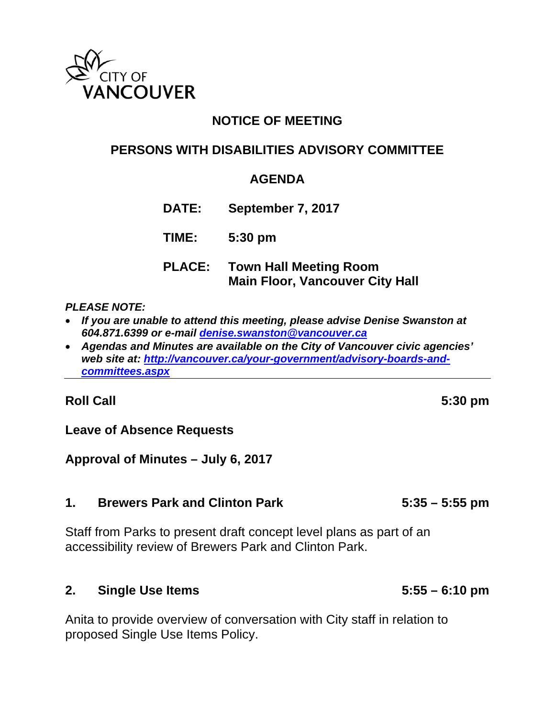

# **NOTICE OF MEETING**

# **PERSONS WITH DISABILITIES ADVISORY COMMITTEE**

## **AGENDA**

**DATE: September 7, 2017**

**TIME: 5:30 pm**

**PLACE: Town Hall Meeting Room Main Floor, Vancouver City Hall** 

#### *PLEASE NOTE:*

- *If you are unable to attend this meeting, please advise Denise Swanston at 604.871.6399 or e-mail denise.swanston@vancouver.ca*
- *Agendas and Minutes are available on the City of Vancouver civic agencies'*  web site at: http://vancouver.ca/your-government/advisory-boards-and*committees.aspx*

### **Roll Call 5:30 pm**

**Leave of Absence Requests** 

### **Approval of Minutes – July 6, 2017**

### **1. Brewers Park and Clinton Park 5:35 – 5:55 pm**

Staff from Parks to present draft concept level plans as part of an accessibility review of Brewers Park and Clinton Park.

### **2. Single Use Items 5:55 – 6:10 pm**

Anita to provide overview of conversation with City staff in relation to proposed Single Use Items Policy.